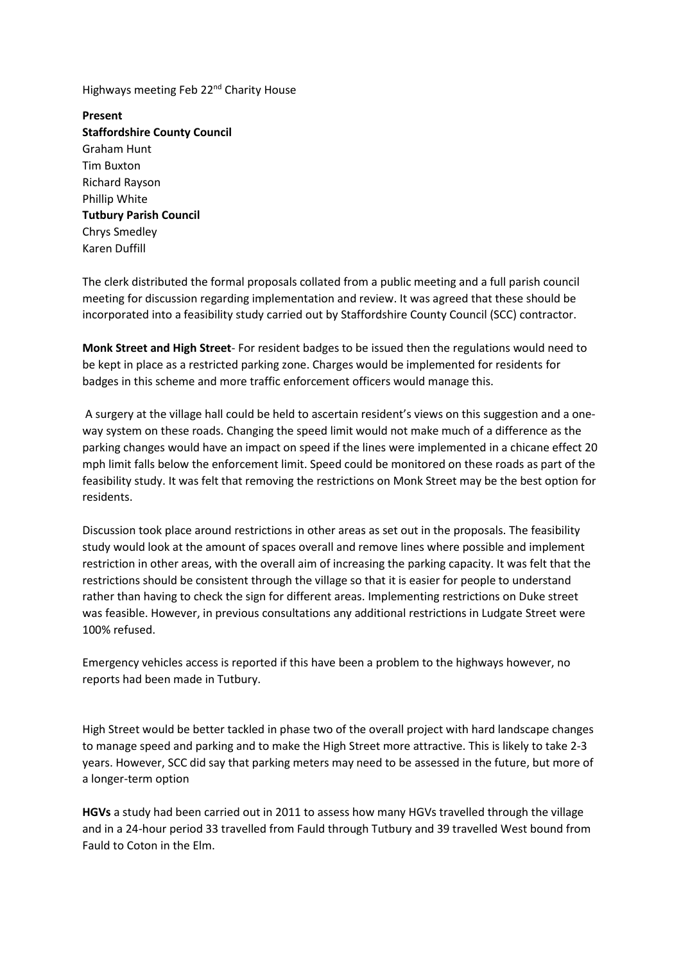Highways meeting Feb 22<sup>nd</sup> Charity House

**Present Staffordshire County Council** Graham Hunt Tim Buxton Richard Rayson Phillip White **Tutbury Parish Council** Chrys Smedley Karen Duffill

The clerk distributed the formal proposals collated from a public meeting and a full parish council meeting for discussion regarding implementation and review. It was agreed that these should be incorporated into a feasibility study carried out by Staffordshire County Council (SCC) contractor.

**Monk Street and High Street**- For resident badges to be issued then the regulations would need to be kept in place as a restricted parking zone. Charges would be implemented for residents for badges in this scheme and more traffic enforcement officers would manage this.

A surgery at the village hall could be held to ascertain resident's views on this suggestion and a oneway system on these roads. Changing the speed limit would not make much of a difference as the parking changes would have an impact on speed if the lines were implemented in a chicane effect 20 mph limit falls below the enforcement limit. Speed could be monitored on these roads as part of the feasibility study. It was felt that removing the restrictions on Monk Street may be the best option for residents.

Discussion took place around restrictions in other areas as set out in the proposals. The feasibility study would look at the amount of spaces overall and remove lines where possible and implement restriction in other areas, with the overall aim of increasing the parking capacity. It was felt that the restrictions should be consistent through the village so that it is easier for people to understand rather than having to check the sign for different areas. Implementing restrictions on Duke street was feasible. However, in previous consultations any additional restrictions in Ludgate Street were 100% refused.

Emergency vehicles access is reported if this have been a problem to the highways however, no reports had been made in Tutbury.

High Street would be better tackled in phase two of the overall project with hard landscape changes to manage speed and parking and to make the High Street more attractive. This is likely to take 2-3 years. However, SCC did say that parking meters may need to be assessed in the future, but more of a longer-term option

**HGVs** a study had been carried out in 2011 to assess how many HGVs travelled through the village and in a 24-hour period 33 travelled from Fauld through Tutbury and 39 travelled West bound from Fauld to Coton in the Elm.